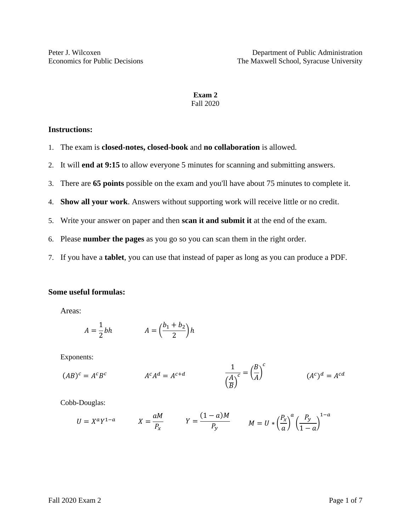# **Exam 2** Fall 2020

# **Instructions:**

- 1. The exam is **closed-notes, closed-book** and **no collaboration** is allowed.
- 2. It will **end at 9:15** to allow everyone 5 minutes for scanning and submitting answers.
- 3. There are **65 points** possible on the exam and you'll have about 75 minutes to complete it.
- 4. **Show all your work**. Answers without supporting work will receive little or no credit.
- 5. Write your answer on paper and then **scan it and submit it** at the end of the exam.
- 6. Please **number the pages** as you go so you can scan them in the right order.
- 7. If you have a **tablet**, you can use that instead of paper as long as you can produce a PDF.

## **Some useful formulas:**

Areas:

$$
A = \frac{1}{2}bh \qquad A = \left(\frac{b_1 + b_2}{2}\right)h
$$

Exponents:

$$
(AB)^c = A^c B^c \qquad \qquad A^c A^d = A^{c+d} \qquad \qquad \frac{1}{\left(\frac{A}{B}\right)^c} = \left(\frac{B}{A}\right)^c \qquad \qquad (A^c)^d = A^{cd}
$$

Cobb-Douglas:

$$
U = X^a Y^{1-a} \qquad X = \frac{aM}{P_x} \qquad Y = \frac{(1-a)M}{P_y} \qquad M = U * \left(\frac{P_x}{a}\right)^a \left(\frac{P_y}{1-a}\right)^{1-a}
$$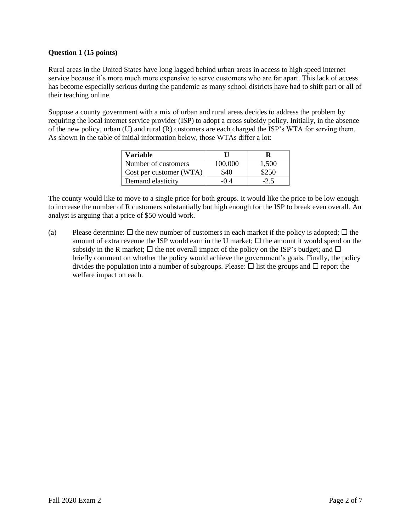## **Question 1 (15 points)**

Rural areas in the United States have long lagged behind urban areas in access to high speed internet service because it's more much more expensive to serve customers who are far apart. This lack of access has become especially serious during the pandemic as many school districts have had to shift part or all of their teaching online.

Suppose a county government with a mix of urban and rural areas decides to address the problem by requiring the local internet service provider (ISP) to adopt a cross subsidy policy. Initially, in the absence of the new policy, urban (U) and rural (R) customers are each charged the ISP's WTA for serving them. As shown in the table of initial information below, those WTAs differ a lot:

| Variable                |         |       |
|-------------------------|---------|-------|
| Number of customers     | 100,000 | 1,500 |
| Cost per customer (WTA) | \$40    |       |
| Demand elasticity       |         |       |

The county would like to move to a single price for both groups. It would like the price to be low enough to increase the number of R customers substantially but high enough for the ISP to break even overall. An analyst is arguing that a price of \$50 would work.

(a) Please determine:  $\Box$  the new number of customers in each market if the policy is adopted;  $\Box$  the amount of extra revenue the ISP would earn in the U market;  $\Box$  the amount it would spend on the subsidy in the R market;  $\Box$  the net overall impact of the policy on the ISP's budget; and  $\Box$ briefly comment on whether the policy would achieve the government's goals. Finally, the policy divides the population into a number of subgroups. Please:  $\Box$  list the groups and  $\Box$  report the welfare impact on each.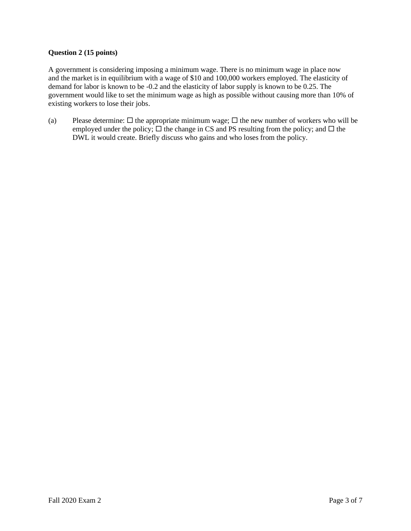#### **Question 2 (15 points)**

A government is considering imposing a minimum wage. There is no minimum wage in place now and the market is in equilibrium with a wage of \$10 and 100,000 workers employed. The elasticity of demand for labor is known to be -0.2 and the elasticity of labor supply is known to be 0.25. The government would like to set the minimum wage as high as possible without causing more than 10% of existing workers to lose their jobs.

(a) Please determine:  $\Box$  the appropriate minimum wage;  $\Box$  the new number of workers who will be employed under the policy;  $\Box$  the change in CS and PS resulting from the policy; and  $\Box$  the DWL it would create. Briefly discuss who gains and who loses from the policy.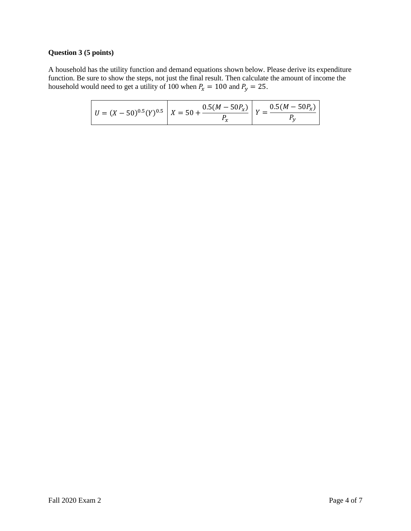# **Question 3 (5 points)**

A household has the utility function and demand equations shown below. Please derive its expenditure function. Be sure to show the steps, not just the final result. Then calculate the amount of income the household would need to get a utility of 100 when  $P_x = 100$  and  $P_y = 25$ .

|  | $U = (X - 50)^{0.5} (Y)^{0.5}$ $X = 50 + \frac{0.5(M - 50P_X)}{W}$ $V = \frac{0.5(M - 50P_X)}{W}$ |  |
|--|---------------------------------------------------------------------------------------------------|--|
|--|---------------------------------------------------------------------------------------------------|--|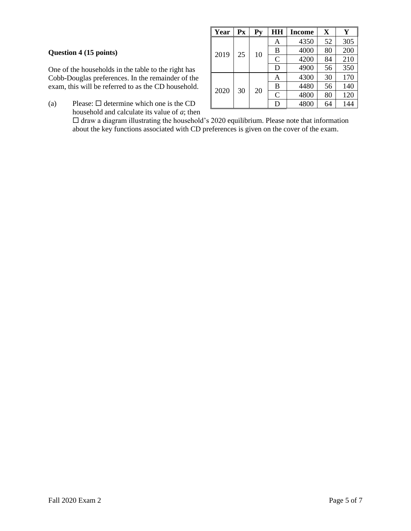## **Question 4 (15 points)**

One of the households in the table to the right has Cobb-Douglas preferences. In the remainder of the exam, this will be referred to as the CD household.

- **Year**  $\vert$  **Px**  $\vert$  **Py**  $\vert$  **HH**  $\vert$  **Income**  $\vert$  **X**  $\vert$  **Y**  $2019 \mid 25 \mid 10$ A 4350 52 305 B 4000 80 200  $C$  4200 84 210  $D$  4900 56 350  $2020 \mid 30 \mid 20$ A 4300 30 170 B 4480 56 140 C 4800 80 120  $D$  4800 64 144
- (a) Please:  $\Box$  determine which one is the CD household and calculate its value of *a*; then

 $\square$  draw a diagram illustrating the household's 2020 equilibrium. Please note that information about the key functions associated with CD preferences is given on the cover of the exam.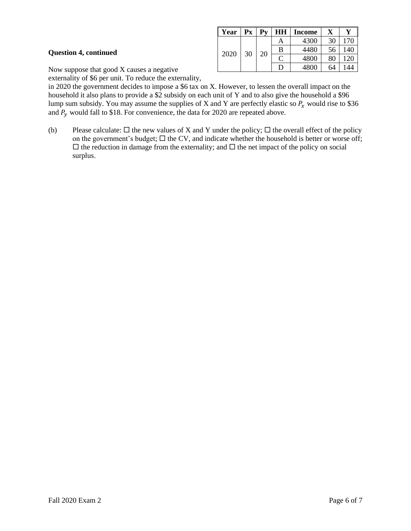|                                                                                         | Year | $\mathbf{P}$ <b>x</b> | $\mathbf{D}_{\mathbf{v}}$ | HH          | Income | X  |     |
|-----------------------------------------------------------------------------------------|------|-----------------------|---------------------------|-------------|--------|----|-----|
| <b>Question 4, continued</b><br>30<br>2020<br>Now suppose that good X causes a negative |      | А                     | 4300                      | 30          | .70    |    |     |
|                                                                                         |      |                       | 20                        | B           | 4480   | 56 | 140 |
|                                                                                         |      |                       |                           | $\sim$<br>◡ | 4800   | 80 | 20  |
|                                                                                         |      |                       |                           |             | 4800   | 64 | 144 |

externality of \$6 per unit. To reduce the externality,

in 2020 the government decides to impose a \$6 tax on X. However, to lessen the overall impact on the household it also plans to provide a \$2 subsidy on each unit of Y and to also give the household a \$96 lump sum subsidy. You may assume the supplies of X and Y are perfectly elastic so  $P_x$  would rise to \$36 and  $P_v$  would fall to \$18. For convenience, the data for 2020 are repeated above.

(b) Please calculate:  $\Box$  the new values of X and Y under the policy;  $\Box$  the overall effect of the policy on the government's budget;  $\Box$  the CV, and indicate whether the household is better or worse off;  $\Box$  the reduction in damage from the externality; and  $\Box$  the net impact of the policy on social surplus.